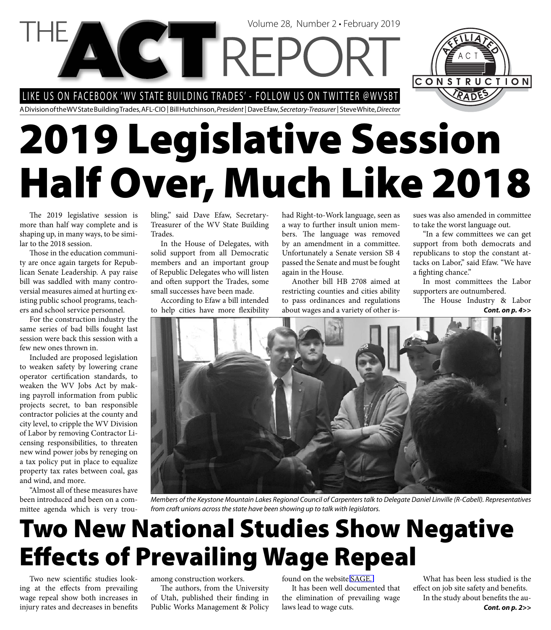LIKE US ON FACEBOOK 'WV STATE BUILDING TRADES' - FOLLOW US ON TWITTER @WVSBT

**VGTREPC** 

A Division of the WV State Building Trades, AFL-CIO | Bill Hutchinson, *President* | Dave Efaw, *Secretary-Treasurer* | Steve White, *Director*

# **2019 Legislative Session Half Over, Much Like 2018**

The 2019 legislative session is more than half way complete and is shaping up, in many ways, to be similar to the 2018 session.

Those in the education community are once again targets for Republican Senate Leadership. A pay raise bill was saddled with many controversial measures aimed at hurting existing public school programs, teachers and school service personnel.

For the construction industry the same series of bad bills fought last session were back this session with a few new ones thrown in.

Included are proposed legislation to weaken safety by lowering crane operator certification standards, to weaken the WV Jobs Act by making payroll information from public projects secret, to ban responsible contractor policies at the county and city level, to cripple the WV Division of Labor by removing Contractor Licensing responsibilities, to threaten new wind power jobs by reneging on a tax policy put in place to equalize property tax rates between coal, gas and wind, and more.

"Almost all of these measures have been introduced and been on a committee agenda which is very troubling," said Dave Efaw, Secretary-Treasurer of the WV State Building Trades.

In the House of Delegates, with solid support from all Democratic members and an important group of Republic Delegates who will listen and often support the Trades, some small successes have been made.

According to Efaw a bill intended to help cities have more flexibility

had Right-to-Work language, seen as a way to further insult union members. The language was removed by an amendment in a committee. Unfortunately a Senate version SB 4 passed the Senate and must be fought again in the House.

Volume 28, Number 2 • February 2019

Another bill HB 2708 aimed at restricting counties and cities ability to pass ordinances and regulations about wages and a variety of other issues was also amended in committee to take the worst language out.

CONSTRUCTION

"In a few committees we can get support from both democrats and republicans to stop the constant attacks on Labor," said Efaw. "We have a fighting chance."

In most committees the Labor supporters are outnumbered.

The House Industry & Labor *Cont. on p. 4>>*



*Members of the Keystone Mountain Lakes Regional Council of Carpenters talk to Delegate Daniel Linville (R-Cabell). Representatives from craft unions across the state have been showing up to talk with legislators.*

### **Two New National Studies Show Negative Eff ects of Prevailing Wage Repeal**

Two new scientific studies looking at the effects from prevailing wage repeal show both increases in injury rates and decreases in benefits among construction workers.

The authors, from the University of Utah, published their finding in Public Works Management & Policy

found on the website [SAGE.](http://www.us.sagepub.com)

It has been well documented that the elimination of prevailing wage laws lead to wage cuts.

What has been less studied is the effect on job site safety and benefits. In the study about benefits the au-*Cont. on p. 2>>*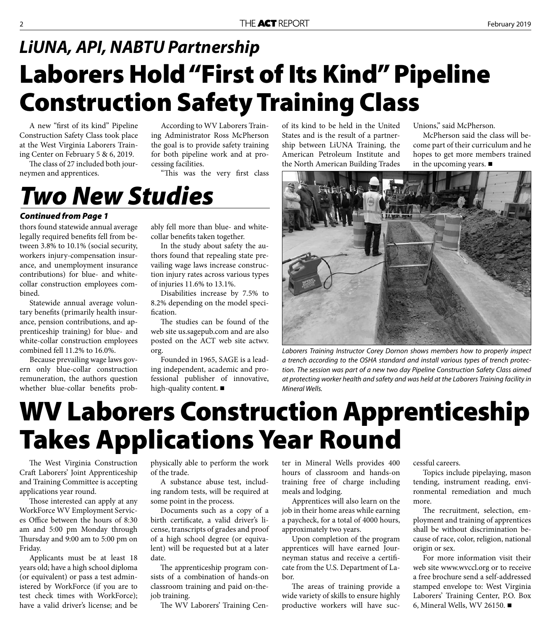#### **Laborers Hold "First of Its Kind" Pipeline Construction Safety Training Class** *LiUNA, API, NABTU Partnership*

A new "first of its kind" Pipeline Construction Safety Class took place at the West Virginia Laborers Training Center on February 5 & 6, 2019.

The class of 27 included both journeymen and apprentices.

According to WV Laborers Training Administrator Ross McPherson the goal is to provide safety training for both pipeline work and at processing facilities.

"This was the very first class

*Two New Studies*

#### *Continued from Page 1*

thors found statewide annual average legally required benefits fell from between 3.8% to 10.1% (social security, workers injury-compensation insurance, and unemployment insurance contributions) for blue- and whitecollar construction employees combined.

Statewide annual average voluntary benefits (primarily health insurance, pension contributions, and apprenticeship training) for blue- and white-collar construction employees combined fell 11.2% to 16.0%.

Because prevailing wage laws govern only blue-collar construction remuneration, the authors question whether blue-collar benefits probably fell more than blue- and whitecollar benefits taken together.

In the study about safety the authors found that repealing state prevailing wage laws increase construction injury rates across various types of injuries 11.6% to 13.1%.

Disabilities increase by 7.5% to 8.2% depending on the model specification.

The studies can be found of the web site [us.sagepub.com](http://www.us.sagepub.com) and are also posted on the [ACT web site actwv.](http://www.actwv.org/news-information) org.

Founded in 1965, SAGE is a leading independent, academic and professional publisher of innovative, high-quality content.

of its kind to be held in the United States and is the result of a partnership between LiUNA Training, the American Petroleum Institute and the North American Building Trades

Unions," said McPherson.

McPherson said the class will become part of their curriculum and he hopes to get more members trained in the upcoming years.  $\blacksquare$ 



*Laborers Training Instructor Corey Dornon shows members how to properly inspect a trench according to the OSHA standard and install various types of trench protection. The session was part of a new two day Pipeline Construction Safety Class aimed at protecting worker health and safety and was held at the Laborers Training facility in Mineral Wells.*

### **WV Laborers Construction Apprenticeship Takes Applications Year Round**

The West Virginia Construction Craft Laborers' Joint Apprenticeship and Training Committee is accepting applications year round.

Those interested can apply at any WorkForce WV Employment Services Office between the hours of 8:30 am and 5:00 pm Monday through Thursday and 9:00 am to 5:00 pm on Friday.

Applicants must be at least 18 years old; have a high school diploma (or equivalent) or pass a test administered by WorkForce (if you are to test check times with WorkForce); have a valid driver's license; and be

physically able to perform the work of the trade.

A substance abuse test, including random tests, will be required at some point in the process.

Documents such as a copy of a birth certificate, a valid driver's license, transcripts of grades and proof of a high school degree (or equivalent) will be requested but at a later date.

The apprenticeship program consists of a combination of hands-on classroom training and paid on-thejob training.

The WV Laborers' Training Cen-

ter in Mineral Wells provides 400 hours of classroom and hands-on training free of charge including meals and lodging.

Apprentices will also learn on the job in their home areas while earning a paycheck, for a total of 4000 hours, approximately two years.

Upon completion of the program apprentices will have earned Journeyman status and receive a certificate from the U.S. Department of Labor.

The areas of training provide a wide variety of skills to ensure highly productive workers will have successful careers.

Topics include pipelaying, mason tending, instrument reading, environmental remediation and much more.

The recruitment, selection, employment and training of apprentices shall be without discrimination because of race, color, religion, national origin or sex.

For more information visit their web site [www.wvccl.org](http://www.wvccl.org) or to receive a free brochure send a self-addressed stamped envelope to: West Virginia Laborers' Training Center, P.O. Box 6, Mineral Wells, WV 26150.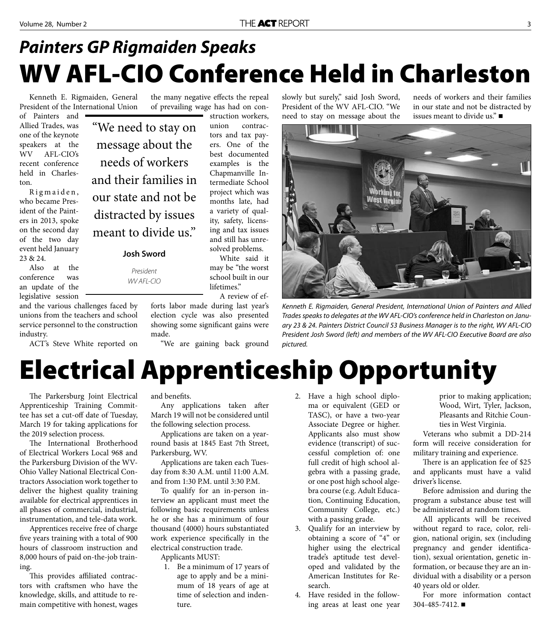#### **WV AFL-CIO Conference Held in Charleston** *Painters GP Rigmaiden Speaks*

Kenneth E. Rigmaiden, General President of the International Union

of Painters and Allied Trades, was one of the keynote speakers at the WV AFL-CIO's recent conference held in Charleston.

Rigmaiden, who became President of the Painters in 2013, spoke on the second day of the two day event held January 23 & 24.

Also at the conference was an update of the legislative session

and the various challenges faced by unions from the teachers and school service personnel to the construction industry.

ACT's Steve White reported on

"We need to stay on message about the needs of workers and their families in our state and not be distracted by issues meant to divide us."

**Josh Sword** 

*President WV AFL-CIO*

the many negative effects the repeal of prevailing wage has had on construction workers,

union contractors and tax payers. One of the best documented examples is the Chapmanville Intermediate School project which was months late, had a variety of quality, safety, licensing and tax issues and still has unresolved problems.

White said it may be "the worst school built in our lifetimes."

A review of ef-

forts labor made during last year's election cycle was also presented showing some significant gains were made.

"We are gaining back ground

slowly but surely," said Josh Sword, President of the WV AFL-CIO. "We need to stay on message about the

needs of workers and their families in our state and not be distracted by issues meant to divide us."



*Kenneth E. Rigmaiden, General President, International Union of Painters and Allied Trades speaks to delegates at the WV AFL-CIO's conference held in Charleston on January 23 & 24. Painters District Council 53 Business Manager is to the right, WV AFL-CIO President Josh Sword (left) and members of the WV AFL-CIO Executive Board are also pictured.*

### **Electrical Apprenticeship Opportunity**

The Parkersburg Joint Electrical Apprenticeship Training Committee has set a cut-off date of Tuesday, March 19 for taking applications for the 2019 selection process.

The International Brotherhood of Electrical Workers Local 968 and the Parkersburg Division of the WV-Ohio Valley National Electrical Contractors Association work together to deliver the highest quality training available for electrical apprentices in all phases of commercial, industrial, instrumentation, and tele-data work.

Apprentices receive free of charge five years training with a total of 900 hours of classroom instruction and 8,000 hours of paid on-the-job training.

This provides affiliated contractors with craftsmen who have the knowledge, skills, and attitude to remain competitive with honest, wages

and benefits.

Any applications taken after March 19 will not be considered until the following selection process.

Applications are taken on a yearround basis at 1845 East 7th Street, Parkersburg, WV.

Applications are taken each Tuesday from 8:30 A.M. until 11:00 A.M. and from 1:30 P.M. until 3:30 P.M.

To qualify for an in-person interview an applicant must meet the following basic requirements unless he or she has a minimum of four thousand (4000) hours substantiated work experience specifically in the electrical construction trade.

Applicants MUST:

- 1. Be a minimum of 17 years of age to apply and be a minimum of 18 years of age at time of selection and indenture.
- 2. Have a high school diploma or equivalent (GED or TASC), or have a two-year Associate Degree or higher. Applicants also must show evidence (transcript) of successful completion of: one full credit of high school algebra with a passing grade, or one post high school algebra course (e.g. Adult Education, Continuing Education, Community College, etc.) with a passing grade.
- 3. Qualify for an interview by obtaining a score of "4" or higher using the electrical trade's aptitude test developed and validated by the American Institutes for Research.
- 4. Have resided in the following areas at least one year

prior to making application; Wood, Wirt, Tyler, Jackson, Pleasants and Ritchie Counties in West Virginia.

Veterans who submit a DD-214 form will receive consideration for military training and experience.

There is an application fee of \$25 and applicants must have a valid driver's license.

Before admission and during the program a substance abuse test will be administered at random times.

All applicants will be received without regard to race, color, religion, national origin, sex (including pregnancy and gender identification), sexual orientation, genetic information, or because they are an individual with a disability or a person 40 years old or older.

For more information contact 304-485-7412.